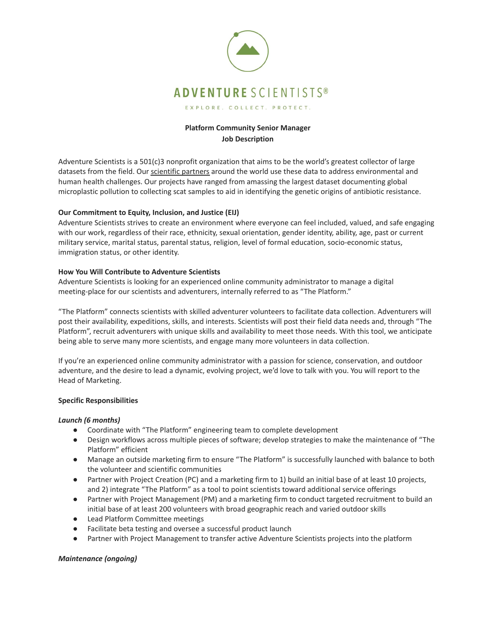

# **Platform Community Senior Manager Job Description**

Adventure Scientists is a 501(c)3 nonprofit organization that aims to be the world's greatest collector of large datasets from the field. Our [scientific](https://www.adventurescientists.org/scientific-partners.html) partners around the world use these data to address environmental and human health challenges. Our projects have ranged from amassing the largest dataset documenting global microplastic pollution to collecting scat samples to aid in identifying the genetic origins of antibiotic resistance.

## **Our Commitment to Equity, Inclusion, and Justice (EIJ)**

Adventure Scientists strives to create an environment where everyone can feel included, valued, and safe engaging with our work, regardless of their race, ethnicity, sexual orientation, gender identity, ability, age, past or current military service, marital status, parental status, religion, level of formal education, socio-economic status, immigration status, or other identity.

### **How You Will Contribute to Adventure Scientists**

Adventure Scientists is looking for an experienced online community administrator to manage a digital meeting-place for our scientists and adventurers, internally referred to as "The Platform."

"The Platform" connects scientists with skilled adventurer volunteers to facilitate data collection. Adventurers will post their availability, expeditions, skills, and interests. Scientists will post their field data needs and, through "The Platform", recruit adventurers with unique skills and availability to meet those needs. With this tool, we anticipate being able to serve many more scientists, and engage many more volunteers in data collection.

If you're an experienced online community administrator with a passion for science, conservation, and outdoor adventure, and the desire to lead a dynamic, evolving project, we'd love to talk with you. You will report to the Head of Marketing.

## **Specific Responsibilities**

#### *Launch (6 months)*

- Coordinate with "The Platform" engineering team to complete development
- Design workflows across multiple pieces of software; develop strategies to make the maintenance of "The Platform" efficient
- Manage an outside marketing firm to ensure "The Platform" is successfully launched with balance to both the volunteer and scientific communities
- Partner with Project Creation (PC) and a marketing firm to 1) build an initial base of at least 10 projects, and 2) integrate "The Platform" as a tool to point scientists toward additional service offerings
- Partner with Project Management (PM) and a marketing firm to conduct targeted recruitment to build an initial base of at least 200 volunteers with broad geographic reach and varied outdoor skills
- Lead Platform Committee meetings
- Facilitate beta testing and oversee a successful product launch
- Partner with Project Management to transfer active Adventure Scientists projects into the platform

## *Maintenance (ongoing)*